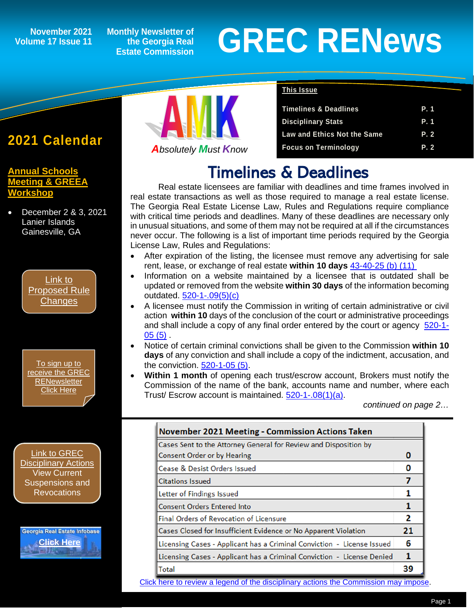## **Volume 17 Issue 11**

**Monthly Newsletter of the Georgia Real Estate Commission**

# November 2021 Monthly Newsletter of<br>
Estate Commission<br>
Estate Commission

## **2021 Calendar**

*1*

**[Annual Schools](http://www.annualschoolmeeting.com/asm/welcome/)  [Meeting & GREEA](http://www.annualschoolmeeting.com/asm/welcome/)  [Workshop](http://www.annualschoolmeeting.com/asm/welcome/)**

• December 2 & 3, 2021 Lanier Islands Gainesville, GA

> [Link to](https://grec.state.ga.us/information-research/legislation/real-estate/)  [Proposed Rule](https://grec.state.ga.us/information-research/legislation/real-estate/)  **[Changes](https://grec.state.ga.us/information-research/legislation/real-estate/)**

[To sign up to](https://grec.state.ga.us/newsletters/)  [receive the GREC](https://grec.state.ga.us/newsletters/)  **RENewsletter** [Click Here](https://grec.state.ga.us/newsletters/)

[Link to GREC](https://grec.state.ga.us/information-research/disciplinary-actions/real-estate/)  [Disciplinary Actions](https://grec.state.ga.us/information-research/disciplinary-actions/real-estate/) View Current Suspensions and **Revocations** 

Georgia Real Estate Infobase **[Click Here](https://www.grec.state.ga.us/infobase/infobase.html)**



*Absolutely Must Know*

### **This Issue**

| <b>Timelines &amp; Deadlines</b>   | P. 1 |
|------------------------------------|------|
| <b>Disciplinary Stats</b>          | P. 1 |
| <b>Law and Ethics Not the Same</b> | P. 2 |
| <b>Focus on Terminology</b>        | P. 2 |

## Timelines & Deadlines

Real estate licensees are familiar with deadlines and time frames involved in real estate transactions as well as those required to manage a real estate license. The Georgia Real Estate License Law, Rules and Regulations require compliance with critical time periods and deadlines. Many of these deadlines are necessary only in unusual situations, and some of them may not be required at all if the circumstances never occur. The following is a list of important time periods required by the Georgia License Law, Rules and Regulations:

- After expiration of the listing, the licensee must remove any advertising for sale rent, lease, or exchange of real estate **within 10 days** [43-40-25](https://grec.state.ga.us/information-research/license-law/) (b) (11)
- Information on a website maintained by a licensee that is outdated shall be updated or removed from the website **within 30 days** of the information becoming outdated. [520-1-.09\(5\)\(c\)](https://grec.state.ga.us/information-research/license-law/)
- A licensee must notify the Commission in writing of certain administrative or civil action **within 10** days of the conclusion of the court or administrative proceedings and shall include a copy of any final order entered by the court or agency [520-1-](https://grec.state.ga.us/information-research/license-law/) [05 \(5\)](https://grec.state.ga.us/information-research/license-law/) .
- Notice of certain criminal convictions shall be given to the Commission **within 10 days** of any conviction and shall include a copy of the indictment, accusation, and the conviction. [520-1-05 \(5\).](https://grec.state.ga.us/information-research/license-law/)
- **Within 1 month** of opening each trust/escrow account, Brokers must notify the Commission of the name of the bank, accounts name and number, where each Trust/ Escrow account is maintained. [520-1-.08\(1\)\(a\).](https://grec.state.ga.us/information-research/license-law/)

*continued on page 2…*

| <b>November 2021 Meeting - Commission Actions Taken</b>                |    |
|------------------------------------------------------------------------|----|
| Cases Sent to the Attorney General for Review and Disposition by       |    |
| <b>Consent Order or by Hearing</b>                                     | 0  |
| Cease & Desist Orders Issued                                           | 0  |
| Citations Issued                                                       |    |
| <b>Letter of Findings Issued</b>                                       |    |
| <b>Consent Orders Entered Into</b>                                     |    |
| <b>Final Orders of Revocation of Licensure</b>                         | 2  |
| Cases Closed for Insufficient Evidence or No Apparent Violation        | 21 |
| Licensing Cases - Applicant has a Criminal Conviction - License Issued | 6  |
| Licensing Cases - Applicant has a Criminal Conviction - License Denied | 1  |
| Total                                                                  | 39 |

[Click here to review a legend of the disciplina](https://www.jmre.com/grec/GRECDisciplinaryTools.pdf)[ry actions the Com](https://grec.state.ga.us/information-research/license-law/)[mission may impose.](https://www.jmre.com/grec/GRECDisciplinaryTools.pdf)  $\overline{\phantom{a}}$ 

ı

l